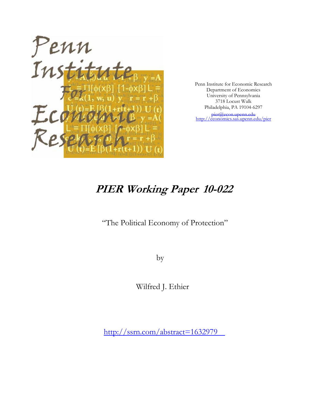

Penn Institute for Economic Research Department of Economics University of Pennsylvania 3718 Locust Walk Philadelphia, PA 19104-6297

http://economics.sas.upenn.edu/pier

## **PIER Working Paper 10-022**

"The Political Economy of Protection"

by

Wilfred J. Ethier

[http://ssrn.com/abstract=](http://ssrn.com/abstrct-1632979)1632979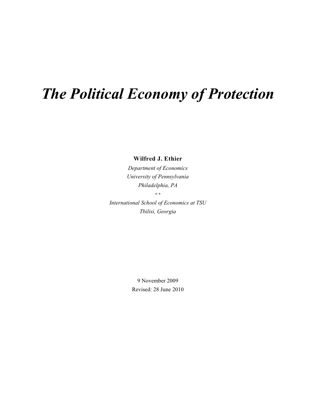# *The Political Economy of Protection*

**Wilfred J. Ethier**

*Department of Economics University of Pennsylvania Philadelphia, PA*  $\leftrightarrow$ *International School of Economics at TSU Tbilisi, Georgia*

> 9 November 2009 Revised: 28 June 2010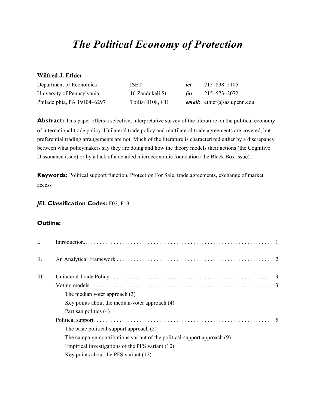## *The Political Economy of Protection*

#### **Wilfred J. Ethier**

| Department of Economics     | <b>ISET</b>      | tel: | 215–898–5105                        |
|-----------------------------|------------------|------|-------------------------------------|
| University of Pennsylvania  | 16 Zandukeli St. |      | $\mathit{fax}:$ 215-573-2072        |
| Philadelphia, PA 19104–6297 | Tbilisi 0108. GE |      | <i>email</i> : ethier@sas.upenn.edu |

**Abstract:** This paper offers a selective, interpretative survey of the literature on the political economy of international trade policy. Unilateral trade policy and multilateral trade agreements are covered, but preferential trading arrangements are not. Much of the literature is characterized either by a discrepancy between what policymakers say they are doing and how the theory models their actions (the Cognitive Dissonance issue) or by a lack of a detailed microeconomic foundation (the Black Box issue).

**Keywords:** Political support function, Protection For Sale, trade agreements, exchange of market access

#### *JEL* **Classification Codes:** F02, F13

#### **Outline:**

| I.   |                                                                          |  |
|------|--------------------------------------------------------------------------|--|
| Π.   |                                                                          |  |
| III. |                                                                          |  |
|      |                                                                          |  |
|      | The median voter approach $(3)$                                          |  |
|      | Key points about the median-voter approach (4)                           |  |
|      | Partisan politics (4)                                                    |  |
|      |                                                                          |  |
|      | The basic political-support approach $(5)$                               |  |
|      | The campaign-contributions variant of the political-support approach (9) |  |
|      | Empirical investigations of the PFS variant (10)                         |  |
|      | Key points about the PFS variant (12)                                    |  |
|      |                                                                          |  |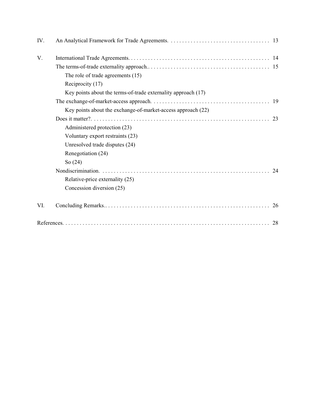| IV. |                                                               |  |
|-----|---------------------------------------------------------------|--|
| V.  |                                                               |  |
|     |                                                               |  |
|     | The role of trade agreements (15)                             |  |
|     | Reciprocity (17)                                              |  |
|     | Key points about the terms-of-trade externality approach (17) |  |
|     |                                                               |  |
|     | Key points about the exchange-of-market-access approach (22)  |  |
|     |                                                               |  |
|     | Administered protection (23)                                  |  |
|     | Voluntary export restraints (23)                              |  |
|     | Unresolved trade disputes (24)                                |  |
|     | Renegotiation (24)                                            |  |
|     | So $(24)$                                                     |  |
|     |                                                               |  |
|     | Relative-price externality (25)                               |  |
|     | Concession diversion (25)                                     |  |
| VI. |                                                               |  |
|     |                                                               |  |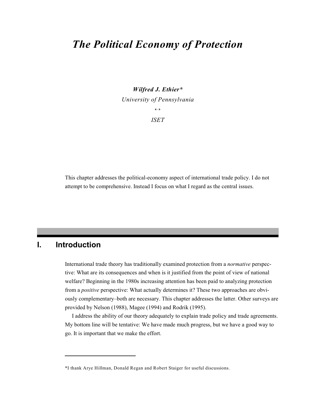## *The Political Economy of Protection*

*Wilfred J. Ethier\**

*University of Pennsylvania*  $\leftrightarrow$ 

*ISET*

This chapter addresses the political-economy aspect of international trade policy. I do not attempt to be comprehensive. Instead I focus on what I regard as the central issues.

## **I. Introduction**

International trade theory has traditionally examined protection from a *normative* perspective: What are its consequences and when is it justified from the point of view of national welfare? Beginning in the 1980s increasing attention has been paid to analyzing protection from a *positive* perspective: What actually determines it? These two approaches are obviously complementary–both are necessary. This chapter addresses the latter. Other surveys are provided by Nelson (1988), Magee (1994) and Rodrik (1995).

I address the ability of our theory adequately to explain trade policy and trade agreements. My bottom line will be tentative: We have made much progress, but we have a good way to go. It is important that we make the effort.

<sup>\*</sup>I thank Arye Hillman, Donald Regan and Robert Staiger for useful discussions.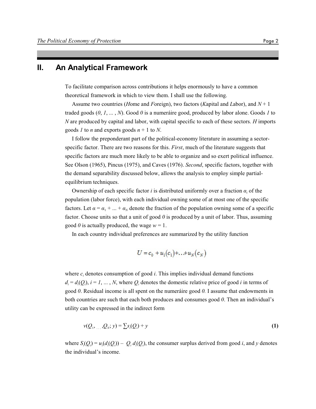## **II. An Analytical Framework**

To facilitate comparison across contributions it helps enormously to have a common theoretical framework in which to view them. I shall use the following.

Assume two countries (*H*ome and *F*oreign), two factors (*K*apital and *L*abor), and *N* + 1 traded goods (*0*, *1*, ... , *N*). Good *0* is a numeráire good, produced by labor alone. Goods *1* to *N* are produced by capital and labor, with capital specific to each of these sectors. *H* imports goods *l* to *n* and exports goods  $n + 1$  to *N*.

I follow the preponderant part of the political-economy literature in assuming a sectorspecific factor. There are two reasons for this. *First*, much of the literature suggests that specific factors are much more likely to be able to organize and so exert political influence. See Olson (1965), Pincus (1975), and Caves (1976). *Second*, specific factors, together with the demand separability discussed below, allows the analysis to employ simple partialequilibrium techniques.

Ownership of each specific factor *i* is distributed uniformly over a fraction  $\alpha_i$  of the population (labor force), with each individual owning some of at most one of the specific factors. Let  $\alpha = \alpha_1 + ... + \alpha_N$  denote the fraction of the population owning some of a specific factor. Choose units so that a unit of good *0* is produced by a unit of labor. Thus, assuming good *0* is actually produced, the wage  $w = 1$ .

In each country individual preferences are summarized by the utility function

$$
U = c_0 + u_1(c_1) + ... + u_N(c_N)
$$

where  $c_i$  denotes consumption of good *i*. This implies individual demand functions  $d_i = d_i(Q_i)$ ,  $i = 1, \dots, N$ , where  $Q_i$  denotes the domestic relative price of good *i* in terms of good *0*. Residual income is all spent on the numeráire good *0.* I assume that endowments in both countries are such that each both produces and consumes good *0*. Then an individual's utility can be expressed in the indirect form

$$
v(Q_1, \ldots, Q_N; y) = \sum s_i(Q_i) + y \tag{1}
$$

where  $S_i(Q_i) = u_i(d_i(Q_i)) - Q_i d_i(Q_i)$ , the consumer surplus derived from good *i*, and *y* denotes the individual's income.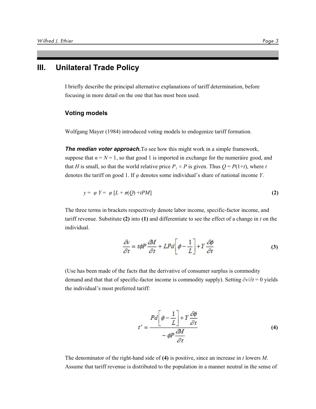## **III. Unilateral Trade Policy**

I briefly describe the principal alternative explanations of tariff determination, before focusing in more detail on the one that has most been used.

#### **Voting models**

Wolfgang Mayer (1984) introduced voting models to endogenize tariff formation.

**The median voter approach.** To see how this might work in a simple framework, suppose that  $n = N = 1$ , so that good 1 is imported in exchange for the numeráire good, and that *H* is small, so that the world relative price  $P_i \equiv P$  is given. Thus  $Q = P(1+t)$ , where *t* denotes the tariff on good 1. If *ö* denotes some individual's share of national income *Y*.

$$
y = \varphi Y = \varphi [L + \pi(Q) + tPM]
$$
 (2)

The three terms in brackets respectively denote labor income, specific-factor income, and tariff revenue. Substitute **(2)** into **(1)** and differentiate to see the effect of a change in *t* on the individual.

$$
\frac{\partial v}{\partial t} = t \phi P \frac{\partial M}{\partial t} + L P d \left[ \phi - \frac{1}{L} \right] + Y \frac{\partial \phi}{\partial t}
$$
(3)

(Use has been made of the facts that the derivative of consumer surplus is commodity demand and that that of specific-factor income is commodity supply). Setting  $\partial v/\partial t = 0$  yields the individual's most preferred tariff:

$$
t' = \frac{Pd\left[\phi - \frac{1}{L}\right] + Y \frac{\partial \phi}{\partial t}}{-\phi P \frac{\partial M}{\partial t}}
$$
(4)

The denominator of the right-hand side of **(4)** is positive, since an increase in *t* lowers *M*. Assume that tariff revenue is distributed to the population in a manner neutral in the sense of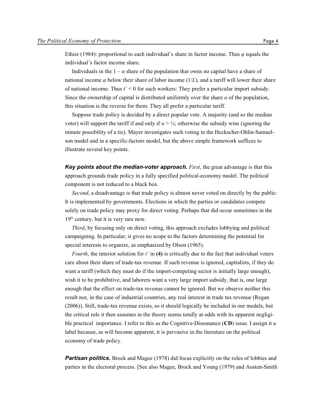Ethier (1984): proportional to each individual's share in factor income. Thus  $\varphi$  equals the individual's factor income share.

Individuals in the  $1 - \alpha$  share of the population that owns no capital have a share of national income  $\varphi$  below their share of labor income ( $1/L$ ), and a tariff will lower their share of national income. Thus  $t' < 0$  for such workers: They prefer a particular import subsidy. Since the ownership of capital is distributed uniformly over the share  $\alpha$  of the population, this situation is the reverse for them: They all prefer a particular tariff.

Suppose trade policy is decided by a direct popular vote. A majority (and so the median voter) will support the tariff if and only if  $\alpha > \frac{1}{2}$ ; otherwise the subsidy wins (ignoring the minute possibility of a tie). Mayer investigates such voting in the Heckscher-Ohlin-Samuelson model and in a specific-factors model, but the above simple framework suffices to illustrate several key points.

*Key points about the median-voter approach. First*, the great advantage is that this approach grounds trade policy in a fully specified political-economy model. The political component is not reduced to a black box.

*Second*, a disadvantage is that trade policy is almost never voted on directly by the public: It is implemented by governments. Elections in which the parties or candidates compete solely on trade policy may proxy for direct voting. Perhaps that did occur sometimes in the  $19<sup>th</sup>$  century, but it is very rare now.

*Third*, by focusing only on direct voting, this approach excludes lobbying and political campaigning. In particular, it gives no scope to the factors determining the potential for special interests to organize, as emphasized by Olson (1965).

*Fourth*, the interior solution for  $t'$  in (4) is critically due to the fact that individual voters care about their share of trade-tax revenue. If such revenue is ignored, capitalists, if they do want a tariff (which they must do if the import-competing sector is initially large enough), wish it to be prohibitive, and laborers want a very large import subsidy, that is, one large enough that the effect on trade-tax revenue cannot be ignored. But we observe neither this result nor, in the case of industrial countries, any real interest in trade tax revenue (Regan (2006)). Still, trade-tax revenue exists, so it should logically be included in our models, but the critical role it then assumes in the theory seems totally at odds with its apparent negligible practical importance. I refer to this as the Cognitive-Dissonance (**CD**) issue. I assign it a label because, as will become apparent, it is pervasive in the literature on the political economy of trade policy.

**Partisan politics.** Brock and Magee (1978) did focus explicitly on the roles of lobbies and parties in the electoral process. [See also Magee, Brock and Young (1979) and Austen-Smith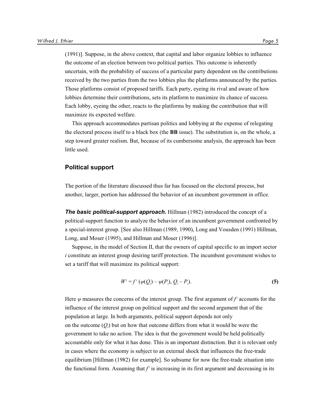(1991)]. Suppose, in the above context, that capital and labor organize lobbies to influence the outcome of an election between two political parties. This outcome is inherently uncertain, with the probability of success of a particular party dependent on the contributions received by the two parties from the two lobbies plus the platforms announced by the parties. Those platforms consist of proposed tariffs. Each party, eyeing its rival and aware of how lobbies determine their contributions, sets its platform to maximize its chance of success. Each lobby, eyeing the other, reacts to the platforms by making the contribution that will maximize its expected welfare.

This approach accommodates partisan politics and lobbying at the expense of relegating the electoral process itself to a black box (the **BB** issue). The substitution is, on the whole, a step toward greater realism. But, because of its cumbersome analysis, the approach has been little used.

#### **Political support**

The portion of the literature discussed thus far has focused on the electoral process, but another, larger, portion has addressed the behavior of an incumbent government in office.

**The basic political-support approach.** Hillman (1982) introduced the concept of a political-support function to analyze the behavior of an incumbent government confronted by a special-interest group. [See also Hillman (1989, 1990), Long and Vousden (1991) Hillman, Long, and Moser (1995), and Hillman and Moser (1996)].

Suppose, in the model of Section II, that the owners of capital specific to an import sector *i* constitute an interest group desiring tariff protection. The incumbent government wishes to set a tariff that will maximize its political support:

$$
W^{i} = f^{i} (\psi(Q_{i}) - \psi(P_{i}), Q_{i} - P_{i}).
$$
\n(5)

Here  $\psi$  measures the concerns of the interest group. The first argument of  $f<sup>i</sup>$  accounts for the influence of the interest group on political support and the second argument that of the population at large. In both arguments, political support depends not only on the outcome  $(Q_i)$  but on how that outcome differs from what it would be were the government to take no action. The idea is that the government would be held politically accountable only for what it has done. This is an important distinction. But it is relevant only in cases where the economy is subject to an external shock that influences the free-trade equilibrium [Hillman (1982) for example]. So subsume for now the free-trade situation into the functional form. Assuming that  $f<sup>i</sup>$  is increasing in its first argument and decreasing in its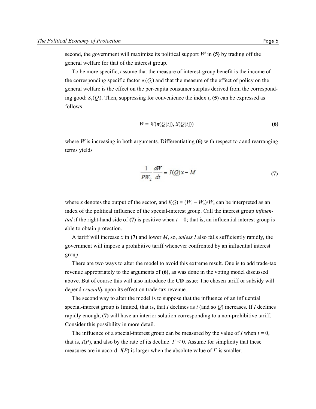second, the government will maximize its political support  $W^i$  in (5) by trading off the general welfare for that of the interest group.

To be more specific, assume that the measure of interest-group benefit is the income of the corresponding specific factor  $\pi$  (*Q*) and that the measure of the effect of policy on the general welfare is the effect on the per-capita consumer surplus derived from the corresponding good:  $S_i(Q_i)$ . Then, suppressing for convenience the index *i*, **(5)** can be expressed as follows

$$
W = W(\pi(Q[t]), S(Q[t]))
$$
\n(6)

where *W* is increasing in both arguments. Differentiating **(6)** with respect to *t* and rearranging terms yields

$$
\frac{1}{PW_2}\frac{dW}{dt} = I(Q)x - M\tag{7}
$$

where *x* denotes the output of the sector, and  $I(Q) = (W_1 - W_2)/W_2$  can be interpreted as an index of the political influence of the special-interest group. Call the interest group *influential* if the right-hand side of (7) is positive when  $t = 0$ ; that is, an influential interest group is able to obtain protection.

A tariff will increase *x* in **(7)** and lower *M*, so, *unless I* also falls sufficiently rapidly, the government will impose a prohibitive tariff whenever confronted by an influential interest group.

There are two ways to alter the model to avoid this extreme result. One is to add trade-tax revenue appropriately to the arguments of **(6)**, as was done in the voting model discussed above. But of course this will also introduce the **CD** issue: The chosen tariff or subsidy will depend *crucially* upon its effect on trade-tax revenue.

The second way to alter the model is to suppose that the influence of an influential special-interest group is limited, that is, that *I* declines as *t* (and so *Q*) increases. If *I* declines rapidly enough, **(7)** will have an interior solution corresponding to a non-prohibitive tariff. Consider this possibility in more detail.

The influence of a special-interest group can be measured by the value of *I* when  $t = 0$ , that is,  $I(P)$ , and also by the rate of its decline:  $I' \le 0$ . Assume for simplicity that these measures are in accord:  $I(P)$  is larger when the absolute value of  $I'$  is smaller.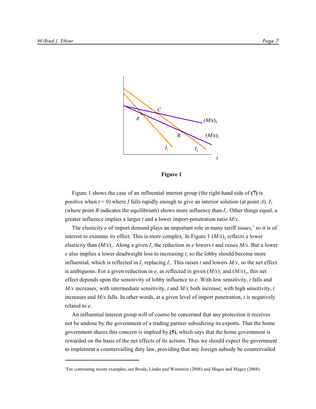

**Figure 1**

Figure 1 shows the case of an influential interest group (the right-hand side of **(7)** is positive when  $t = 0$ ) where *I* falls rapidly enough to give an interior solution (at point *A*).  $I_2$ (where point *B* indicates the equilibrium) shows more influence than  $I_i$ . Other things equal, a greater influence implies a larger *t* and a lower import-penetration ratio *M*/*x*.

The elasticity  $e$  of import demand plays an important role in many tariff issues,<sup>1</sup> so it is of interest to examine its effect. This is more complex. In Figure 1  $(M/x)$  reflects a lower elasticity than  $(M/x)$ . Along a given  $I_1$  the reduction in *e* lowers *t* and raises  $M/x$ . But a lower *e* also implies a lower deadweight loss to increasing *t*, so the lobby should become more influential, which is reflected in  $I_2$  replacing  $I_1$ . This raises *t* and lowers  $M/x$ , so the net effect is ambiguous. For a given reduction in *e*, as reflected in given  $(M/x)$  and  $(M/x)$ , this net effect depends upon the sensitivity of lobby influence to *e*. With low sensitivity, *t* falls and *M/x* increases; with intermediate sensitivity, *t* and *M/x* both increase; with high sensitivity, *t* increases and *M/x* falls. In other words, at a given level of import penetration, *t* is negatively related to *e*.

An influential interest group will of course be concerned that any protection it receives not be undone by the government of a trading partner subsidizing its exports. That the home government shares this concern is implied by **(5)**, which says that the home government is rewarded on the basis of the net effects of its actions. Thus we should expect the government to implement a countervailing duty law, providing that any foreign subsidy be countervailed

<sup>&</sup>lt;sup>1</sup>For contrasting recent examples, see Broda, Limão and Weinstein (2008) and Magee and Magee (2008).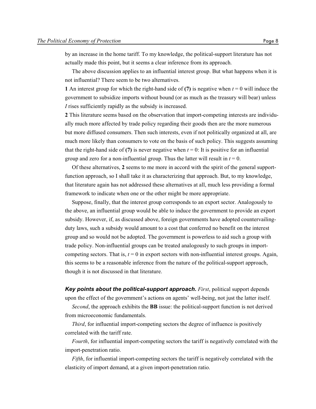by an increase in the home tariff. To my knowledge, the political-support literature has not actually made this point, but it seems a clear inference from its approach.

The above discussion applies to an influential interest group. But what happens when it is not influential? There seem to be two alternatives.

**1** An interest group for which the right-hand side of **(7)** is negative when *t* = 0 will induce the government to subsidize imports without bound (or as much as the treasury will bear) unless *I* rises sufficiently rapidly as the subsidy is increased.

**2** This literature seems based on the observation that import-competing interests are individually much more affected by trade policy regarding their goods then are the more numerous but more diffused consumers. Then such interests, even if not politically organized at all, are much more likely than consumers to vote on the basis of such policy. This suggests assuming that the right-hand side of (7) is never negative when  $t = 0$ . It is positive for an influential group and zero for a non-influential group. Thus the latter will result in  $t = 0$ .

Of these alternatives, **2** seems to me more in accord with the spirit of the general supportfunction approach, so I shall take it as characterizing that approach. But, to my knowledge, that literature again has not addressed these alternatives at all, much less providing a formal framework to indicate when one or the other might be more appropriate.

Suppose, finally, that the interest group corresponds to an export sector. Analogously to the above, an influential group would be able to induce the government to provide an export subsidy. However, if, as discussed above, foreign governments have adopted countervailingduty laws, such a subsidy would amount to a cost that conferred no benefit on the interest group and so would not be adopted. The government is powerless to aid such a group with trade policy. Non-influential groups can be treated analogously to such groups in importcompeting sectors. That is,  $t = 0$  in export sectors with non-influential interest groups. Again, this seems to be a reasonable inference from the nature of the political-support approach, though it is not discussed in that literature.

*Key points about the political-support approach***.** *First*, political support depends upon the effect of the government's actions on agents' well-being, not just the latter itself.

*Second*, the approach exhibits the **BB** issue: the political-support function is not derived from microeconomic fundamentals.

*Third*, for influential import-competing sectors the degree of influence is positively correlated with the tariff rate.

*Fourth*, for influential import-competing sectors the tariff is negatively correlated with the import-penetration ratio.

*Fifth*, for influential import-competing sectors the tariff is negatively correlated with the elasticity of import demand, at a given import-penetration ratio.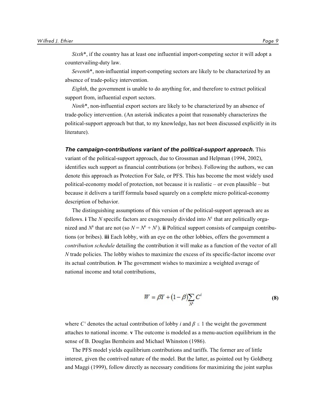*Sixth*\*, if the country has at least one influential import-competing sector it will adopt a countervailing-duty law.

*Seventh*\*, non-influential import-competing sectors are likely to be characterized by an absence of trade-policy intervention.

*Eighth*, the government is unable to do anything for, and therefore to extract political support from, influential export sectors.

*Ninth*\*, non-influential export sectors are likely to be characterized by an absence of trade-policy intervention. (An asterisk indicates a point that reasonably characterizes the political-support approach but that, to my knowledge, has not been discussed explicitly in its literature).

#### *The campaign-contributions variant of the political-support approach.* This

variant of the political-support approach, due to Grossman and Helpman (1994, 2002), identifies such support as financial contributions (or bribes). Following the authors, we can denote this approach as Protection For Sale, or PFS. This has become the most widely used political-economy model of protection, not because it is realistic – or even plausible – but because it delivers a tariff formula based squarely on a complete micro political-economy description of behavior.

The distinguishing assumptions of this version of the political-support approach are as follows. **i** The *N* specific factors are exogenously divided into  $N<sup>1</sup>$  that are politically organized and  $N^{\circ}$  that are not (so  $N = N^{\circ} + N^{\dagger}$ ). **ii** Political support consists of campaign contributions (or bribes). **iii** Each lobby, with an eye on the other lobbies, offers the government a *contribution schedule* detailing the contribution it will make as a function of the vector of all *N* trade policies. The lobby wishes to maximize the excess of its specific-factor income over its actual contribution. **iv** The government wishes to maximize a weighted average of national income and total contributions,

$$
W = \beta Y + (1 - \beta) \sum_{N^i} C^i
$$
 (8)

where *C*<sup>*i*</sup> denotes the actual contribution of lobby *i* and  $\beta \le 1$  the weight the government attaches to national income. **v** The outcome is modeled as a menu-auction equilibrium in the sense of B. Douglas Bernheim and Michael Whinston (1986).

The PFS model yields equilibrium contributions and tariffs. The former are of little interest, given the contrived nature of the model. But the latter, as pointed out by Goldberg and Maggi (1999), follow directly as necessary conditions for maximizing the joint surplus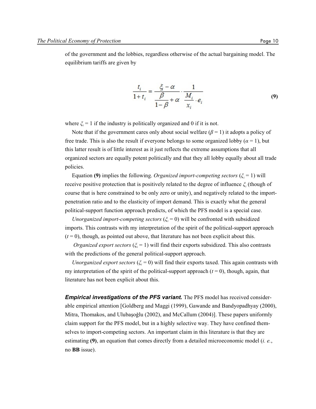of the government and the lobbies, regardless otherwise of the actual bargaining model. The equilibrium tariffs are given by

$$
\frac{t_i}{1+t_i} = \frac{\xi_i - \alpha}{\frac{\beta}{1-\beta} + \alpha} \cdot \frac{1}{\frac{M_i}{x_i} \cdot e_i}
$$
(9)

where  $\xi_i = 1$  if the industry is politically organized and 0 if it is not.

Note that if the government cares only about social welfare  $(\beta = 1)$  it adopts a policy of free trade. This is also the result if everyone belongs to some organized lobby ( $\alpha = 1$ ), but this latter result is of little interest as it just reflects the extreme assumptions that all organized sectors are equally potent politically and that they all lobby equally about all trade policies.

Equation (9) implies the following. *Organized import-competing sectors* ( $\xi_i = 1$ ) will receive positive protection that is positively related to the degree of influence  $\zeta_i$  (though of course that is here constrained to be only zero or unity), and negatively related to the importpenetration ratio and to the elasticity of import demand. This is exactly what the general political-support function approach predicts, of which the PFS model is a special case.

*Unorganized import-competing sectors*  $(\xi_i = 0)$  will be confronted with subsidized imports. This contrasts with my interpretation of the spirit of the political-support approach  $(t = 0)$ , though, as pointed out above, that literature has not been explicit about this.

*Organized export sectors* ( $\xi$ <sup>*i*</sup> = 1) will find their exports subsidized. This also contrasts with the predictions of the general political-support approach.

*Unorganized export sectors* ( $\xi$ <sup>*i*</sup> = 0) will find their exports taxed. This again contrasts with my interpretation of the spirit of the political-support approach  $(t = 0)$ , though, again, that literature has not been explicit about this.

*Empirical investigations of the PFS variant.* The PFS model has received considerable empirical attention [Goldberg and Maggi (1999), Gawande and Bandyopadhyay (2000), Mitra, Thomakos, and Ulubaşoğlu (2002), and McCallum (2004)]. These papers uniformly claim support for the PFS model, but in a highly selective way. They have confined themselves to import-competing sectors. An important claim in this literature is that they are estimating **(9)**, an equation that comes directly from a detailed microeconomic model (*i. e.*, no **BB** issue).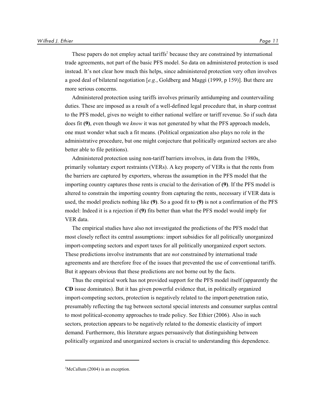These papers do not employ actual tariffs<sup>2</sup> because they are constrained by international trade agreements, not part of the basic PFS model. So data on administered protection is used instead. It's not clear how much this helps, since administered protection very often involves a good deal of bilateral negotiation [*e.g.*, Goldberg and Maggi (1999, p 159)]. But there are more serious concerns.

Administered protection using tariffs involves primarily antidumping and countervailing duties. These are imposed as a result of a well-defined legal procedure that, in sharp contrast to the PFS model, gives no weight to either national welfare or tariff revenue. So if such data does fit **(9)**, even though we *know* it was not generated by what the PFS approach models, one must wonder what such a fit means. (Political organization also plays no role in the administrative procedure, but one might conjecture that politically organized sectors are also better able to file petitions).

Administered protection using non-tariff barriers involves, in data from the 1980s, primarily voluntary export restraints (VERs). A key property of VERs is that the rents from the barriers are captured by exporters, whereas the assumption in the PFS model that the importing country captures those rents is crucial to the derivation of **(9)**. If the PFS model is altered to constrain the importing country from capturing the rents, necessary if VER data is used, the model predicts nothing like **(9)**. So a good fit to **(9)** is not a confirmation of the PFS model: Indeed it is a rejection if **(9)** fits better than what the PFS model would imply for VER data.

The empirical studies have also not investigated the predictions of the PFS model that most closely reflect its central assumptions: import subsidies for all politically unorganized import-competing sectors and export taxes for all politically unorganized export sectors. These predictions involve instruments that are *not* constrained by international trade agreements and are therefore free of the issues that prevented the use of conventional tariffs. But it appears obvious that these predictions are not borne out by the facts.

Thus the empirical work has not provided support for the PFS model itself (apparently the **CD** issue dominates). But it has given powerful evidence that, in politically organized import-competing sectors, protection is negatively related to the import-penetration ratio, presumably reflecting the tug between sectoral special interests and consumer surplus central to most political-economy approaches to trade policy. See Ethier (2006). Also in such sectors, protection appears to be negatively related to the domestic elasticity of import demand. Furthermore, this literature argues persuasively that distinguishing between politically organized and unorganized sectors is crucial to understanding this dependence.

 ${}^{2}$ McCallum (2004) is an exception.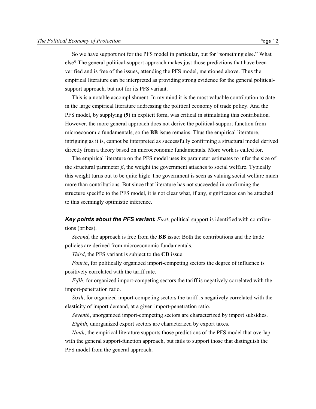So we have support not for the PFS model in particular, but for "something else." What else? The general political-support approach makes just those predictions that have been verified and is free of the issues, attending the PFS model, mentioned above. Thus the empirical literature can be interpreted as providing strong evidence for the general politicalsupport approach, but not for its PFS variant.

This is a notable accomplishment. In my mind it is the most valuable contribution to date in the large empirical literature addressing the political economy of trade policy. And the PFS model, by supplying **(9)** in explicit form, was critical in stimulating this contribution. However, the more general approach does not derive the political-support function from microeconomic fundamentals, so the **BB** issue remains. Thus the empirical literature, intriguing as it is, cannot be interpreted as successfully confirming a structural model derived directly from a theory based on microeconomic fundamentals. More work is called for.

The empirical literature on the PFS model uses its parameter estimates to infer the size of the structural parameter  $\beta$ , the weight the government attaches to social welfare. Typically this weight turns out to be quite high: The government is seen as valuing social welfare much more than contributions. But since that literature has not succeeded in confirming the structure specific to the PFS model, it is not clear what, if any, significance can be attached to this seemingly optimistic inference.

*Key points about the PFS variant. First*, political support is identified with contributions (bribes).

*Second*, the approach is free from the **BB** issue: Both the contributions and the trade policies are derived from microeconomic fundamentals.

*Third*, the PFS variant is subject to the **CD** issue.

*Fourth*, for politically organized import-competing sectors the degree of influence is positively correlated with the tariff rate.

*Fifth*, for organized import-competing sectors the tariff is negatively correlated with the import-penetration ratio.

*Sixth*, for organized import-competing sectors the tariff is negatively correlated with the elasticity of import demand, at a given import-penetration ratio.

*Seventh*, unorganized import-competing sectors are characterized by import subsidies.

*Eighth*, unorganized export sectors are characterized by export taxes.

*Ninth*, the empirical literature supports those predictions of the PFS model that overlap with the general support-function approach, but fails to support those that distinguish the PFS model from the general approach.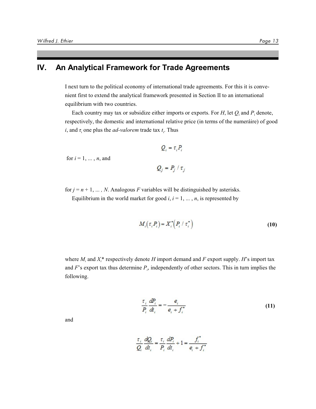## **IV. An Analytical Framework for Trade Agreements**

I next turn to the political economy of international trade agreements. For this it is convenient first to extend the analytical framework presented in Section II to an international equilibrium with two countries.

Each country may tax or subsidize either imports or exports. For  $H$ , let  $Q_i$  and  $P_i$  denote, respectively, the domestic and international relative price (in terms of the numeráire) of good *i*, and  $\tau$ <sub>i</sub> one plus the *ad-valorem* trade tax  $t$ <sub>i</sub>. Thus

$$
Q_i=\tau_iP_i
$$

for  $i = 1, \ldots, n$ , and

$$
Q_j = P_j / \tau_j
$$

for  $j = n + 1, \ldots, N$ . Analogous *F* variables will be distinguished by asterisks. Equilibrium in the world market for good  $i, i = 1, \ldots, n$ , is represented by

$$
M_i(\tau_i P_i) = X_i^* (P_i / \tau_i^*)
$$
 (10)

where  $M_i$  and  $X_i^*$  respectively denote  $H$  import demand and  $F$  export supply.  $H$ 's import tax and *F*'s export tax thus determine  $P_i$ , independently of other sectors. This in turn implies the following.

$$
\frac{\tau_i}{P_i} \frac{dP_i}{dt_i} = -\frac{e_i}{e_i + f_i^*}
$$
\n(11)

and

$$
\frac{\tau_i}{Q_i}\frac{dQ_i}{dt_i} = \frac{\tau_i}{P_i}\frac{dP_i}{dt_i} + 1 = \frac{f_i^*}{e_i + f_i^*}
$$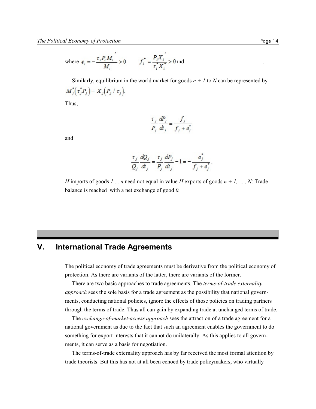where 
$$
e_i = -\frac{\tau_i P_i M_i}{M_i} > 0
$$
  $f_i^* = \frac{P_i X_i^{'}}{\tau_i^* X_i^*} > 0$  and

Similarly, equilibrium in the world market for goods  $n + 1$  to *N* can be represented by  $M_j^*(\tau_j^*P_j) = X_j(P_j / \tau_j).$ 

Thus,

$$
\frac{\tau_j}{P_j} \frac{dP_j}{dt_j} = \frac{f_j}{f_j + e_j^*}
$$

and

$$
\frac{\tau_j}{Q_j}\frac{dQ_j}{dt_j} = \frac{\tau_j}{P_j}\frac{dP_j}{dt_j} - 1 = -\frac{e_j}{f_j + e_j^*}.
$$

*H* imports of goods *1* ... *n* need not equal in value *H* exports of goods *n + 1,* ... , *N*: Trade balance is reached with a net exchange of good *0.*

## **V. International Trade Agreements**

The political economy of trade agreements must be derivative from the political economy of protection. As there are variants of the latter, there are variants of the former.

There are two basic approaches to trade agreements. The *terms-of-trade externality approach* sees the sole basis for a trade agreement as the possibility that national governments, conducting national policies, ignore the effects of those policies on trading partners through the terms of trade. Thus all can gain by expanding trade at unchanged terms of trade.

The *exchange-of-market-access approach* sees the attraction of a trade agreement for a national government as due to the fact that such an agreement enables the government to do something for export interests that it cannot do unilaterally. As this applies to all governments, it can serve as a basis for negotiation.

The terms-of-trade externality approach has by far received the most formal attention by trade theorists. But this has not at all been echoed by trade policymakers, who virtually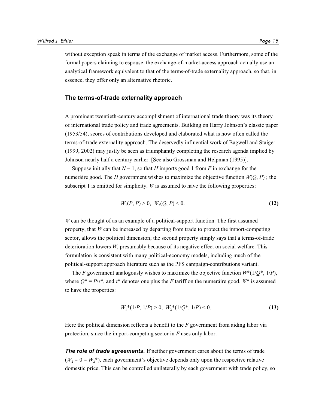without exception speak in terms of the exchange of market access. Furthermore, some of the formal papers claiming to espouse the exchange-of-market-access approach actually use an analytical framework equivalent to that of the terms-of-trade externality approach, so that, in essence, they offer only an alternative rhetoric.

#### **The terms-of-trade externality approach**

A prominent twentieth-century accomplishment of international trade theory was its theory of international trade policy and trade agreements. Building on Harry Johnson's classic paper (1953/54), scores of contributions developed and elaborated what is now often called the terms-of-trade externality approach. The deservedly influential work of Bagwell and Staiger (1999, 2002) may justly be seen as triumphantly completing the research agenda implied by Johnson nearly half a century earlier. [See also Grossman and Helpman (1995)].

Suppose initially that  $N = 1$ , so that *H* imports good 1 from *F* in exchange for the numeráire good. The *H* government wishes to maximize the objective function  $W(O, P)$ ; the subscript 1 is omitted for simplicity.  $W$  is assumed to have the following properties:

$$
W_1(P, P) > 0, \ W_2(Q, P) < 0. \tag{12}
$$

*W* can be thought of as an example of a political-support function. The first assumed property, that *W* can be increased by departing from trade to protect the import-competing sector, allows the political dimension; the second property simply says that a terms-of-trade deterioration lowers *W*, presumably because of its negative effect on social welfare. This formulation is consistent with many political-economy models, including much of the political-support approach literature such as the PFS campaign-contributions variant.

The *F* government analogously wishes to maximize the objective function  $W^*(1/O^*, 1/P)$ , where  $Q^* = P/\tau^*$ , and  $\tau^*$  denotes one plus the *F* tariff on the numeráire good.  $W^*$  is assumed to have the properties:

$$
W_1^*(1/P, 1/P) > 0, \ W_2^*(1/Q^*, 1/P) < 0. \tag{13}
$$

Here the political dimension reflects a benefit to the *F* government from aiding labor via protection, since the import-competing sector in *F* uses only labor.

*The role of trade agreements***.** If neither government cares about the terms of trade  $(W_2 \equiv 0 \equiv W_2^*)$ , each government's objective depends only upon the respective relative domestic price. This can be controlled unilaterally by each government with trade policy, so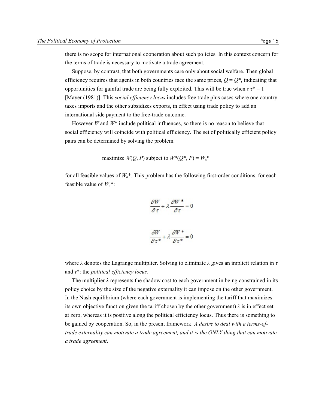Suppose, by contrast, that both governments care only about social welfare. Then global efficiency requires that agents in both countries face the same prices,  $Q = Q^*$ , indicating that opportunities for gainful trade are being fully exploited. This will be true when  $\tau \tau^* = 1$ [Mayer (1981)]. This *social efficiency locus* includes free trade plus cases where one country taxes imports and the other subsidizes exports, in effect using trade policy to add an international side payment to the free-trade outcome.

However *W* and *W*\* include political influences, so there is no reason to believe that social efficiency will coincide with political efficiency. The set of politically efficient policy pairs can be determined by solving the problem:

maximize 
$$
W(Q, P)
$$
 subject to  $W^*(Q^*, P) = W_0^*$ 

for all feasible values of  $W_0^*$ . This problem has the following first-order conditions, for each feasible value of  $W_0^*$ :

$$
\frac{\partial W}{\partial \tau} + \lambda \frac{\partial W^*}{\partial \tau} = 0
$$

$$
\frac{\partial W}{\partial \tau^*} + \lambda \frac{\partial W^*}{\partial \tau^*} = 0
$$

where  $\lambda$  denotes the Lagrange multiplier. Solving to eliminate  $\lambda$  gives an implicit relation in  $\tau$ and  $\tau^*$ : the *political efficiency locus*.

The multiplier  $\lambda$  represents the shadow cost to each government in being constrained in its policy choice by the size of the negative externality it can impose on the other government. In the Nash equilibrium (where each government is implementing the tariff that maximizes its own objective function given the tariff chosen by the other government)  $\lambda$  is in effect set at zero, whereas it is positive along the political efficiency locus. Thus there is something to be gained by cooperation. So, in the present framework: *A desire to deal with a terms-oftrade externality can motivate a trade agreement, and it is the ONLY thing that can motivate a trade agreement*.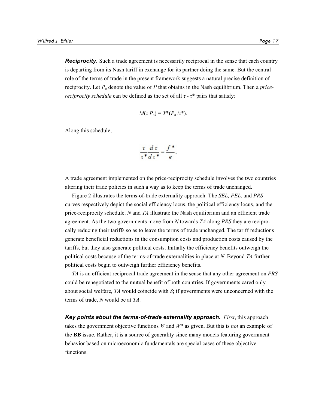*Reciprocity*. Such a trade agreement is necessarily reciprocal in the sense that each country is departing from its Nash tariff in exchange for its partner doing the same. But the central role of the terms of trade in the present framework suggests a natural precise definition of reciprocity. Let  $P_0$  denote the value of *P* that obtains in the Nash equilibrium. Then a *pricereciprocity schedule* can be defined as the set of all  $\tau$  -  $\tau^*$  pairs that satisfy:

$$
M(\tau P_0) = X^*(P_0 / \tau^*).
$$

Along this schedule,

$$
\frac{\tau}{\tau^* d \tau^*} = \frac{f^*}{e}.
$$

A trade agreement implemented on the price-reciprocity schedule involves the two countries altering their trade policies in such a way as to keep the terms of trade unchanged.

Figure 2 illustrates the terms-of-trade externality approach. The *SEL, PEL*, and *PRS* curves respectively depict the social efficiency locus, the political efficiency locus, and the price-reciprocity schedule. *N* and *TA* illustrate the Nash equilibrium and an efficient trade agreement. As the two governments move from *N* towards *TA* along *PRS* they are reciprocally reducing their tariffs so as to leave the terms of trade unchanged. The tariff reductions generate beneficial reductions in the consumption costs and production costs caused by the tariffs, but they also generate political costs. Initially the efficiency benefits outweigh the political costs because of the terms-of-trade externalities in place at *N*. Beyond *TA* further political costs begin to outweigh further efficiency benefits.

*TA* is an efficient reciprocal trade agreement in the sense that any other agreement on *PRS* could be renegotiated to the mutual benefit of both countries. If governments cared only about social welfare, *TA* would coincide with *S*; if governments were unconcerned with the terms of trade, *N* would be at *TA*.

*Key points about the terms-of-trade externality approach. First*, this approach takes the government objective functions *W* and *W*\* as given. But this is *not* an example of the **BB** issue. Rather, it is a source of generality since many models featuring government behavior based on microeconomic fundamentals are special cases of these objective functions.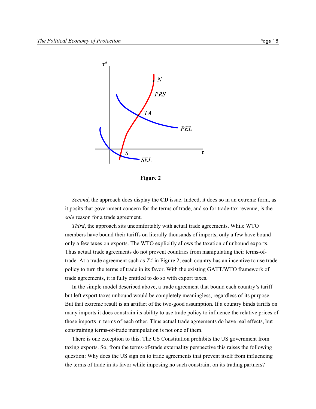

**Figure 2**

*Second*, the approach does display the **CD** issue. Indeed, it does so in an extreme form, as it posits that government concern for the terms of trade, and so for trade-tax revenue, is the *sole* reason for a trade agreement.

*Third*, the approach sits uncomfortably with actual trade agreements. While WTO members have bound their tariffs on literally thousands of imports, only a few have bound only a few taxes on exports. The WTO explicitly allows the taxation of unbound exports. Thus actual trade agreements do not prevent countries from manipulating their terms-oftrade. At a trade agreement such as *TA* in Figure 2, each country has an incentive to use trade policy to turn the terms of trade in its favor. With the existing GATT/WTO framework of trade agreements, it is fully entitled to do so with export taxes.

In the simple model described above, a trade agreement that bound each country's tariff but left export taxes unbound would be completely meaningless, regardless of its purpose. But that extreme result is an artifact of the two-good assumption. If a country binds tariffs on many imports it does constrain its ability to use trade policy to influence the relative prices of those imports in terms of each other. Thus actual trade agreements do have real effects, but constraining terms-of-trade manipulation is not one of them.

There is one exception to this. The US Constitution prohibits the US government from taxing exports. So, from the terms-of-trade externality perspective this raises the following question: Why does the US sign on to trade agreements that prevent itself from influencing the terms of trade in its favor while imposing no such constraint on its trading partners?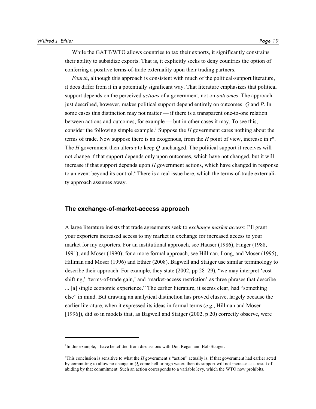While the GATT/WTO allows countries to tax their exports, it significantly constrains their ability to subsidize exports. That is, it explicitly seeks to deny countries the option of conferring a positive terms-of-trade externality upon their trading partners.

*Fourth*, although this approach is consistent with much of the political-support literature, it does differ from it in a potentially significant way. That literature emphasizes that political support depends on the perceived *actions* of a government, not on *outcomes*. The approach just described, however, makes political support depend entirely on outcomes: *Q* and *P*. In some cases this distinction may not matter — if there is a transparent one-to-one relation between actions and outcomes, for example — but in other cases it may. To see this, consider the following simple example.<sup>3</sup> Suppose the  $H$  government cares nothing about the terms of trade. Now suppose there is an exogenous, from the *H* point of view, increase in  $\tau^*$ . The *H* government then alters  $\tau$  to keep  $Q$  unchanged. The political support it receives will not change if that support depends only upon outcomes, which have not changed, but it will increase if that support depends upon *H* government actions, which have changed in response to an event beyond its control.<sup>4</sup> There is a real issue here, which the terms-of-trade externality approach assumes away.

#### **The exchange-of-market-access approach**

A large literature insists that trade agreements seek to *exchange market access*: I'll grant your exporters increased access to my market in exchange for increased access to your market for my exporters. For an institutional approach, see Hauser (1986), Finger (1988, 1991), and Moser (1990); for a more formal approach, see Hillman, Long, and Moser (1995), Hillman and Moser (1996) and Ethier (2008). Bagwell and Staiger use similar terminology to describe their approach. For example, they state (2002, pp 28–29), "we may interpret 'cost shifting,' 'terms-of-trade gain,' and 'market-access restriction' as three phrases that describe ... [a] single economic experience." The earlier literature, it seems clear, had "something else" in mind. But drawing an analytical distinction has proved elusive, largely because the earlier literature, when it expressed its ideas in formal terms (*e.g.*, Hillman and Moser [1996]), did so in models that, as Bagwell and Staiger (2002, p 20) correctly observe, were

<sup>&</sup>lt;sup>3</sup>In this example, I have benefitted from discussions with Don Regan and Bob Staiger.

<sup>&</sup>lt;sup>4</sup>This conclusion is sensitive to what the *H* government's "action" actually is. If that government had earlier acted by committing to allow no change in *Q*, come hell or high water, then its support will not increase as a result of abiding by that commitment. Such an action corresponds to a variable levy, which the WTO now prohibits.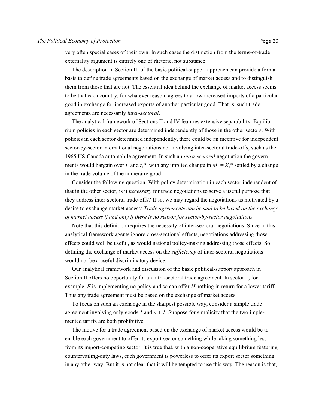very often special cases of their own. In such cases the distinction from the terms-of-trade externality argument is entirely one of rhetoric, not substance.

The description in Section III of the basic political-support approach can provide a formal basis to define trade agreements based on the exchange of market access and to distinguish them from those that are not. The essential idea behind the exchange of market access seems to be that each country, for whatever reason, agrees to allow increased imports of a particular good in exchange for increased exports of another particular good. That is, such trade agreements are necessarily *inter-sectoral*.

The analytical framework of Sections II and IV features extensive separability: Equilibrium policies in each sector are determined independently of those in the other sectors. With policies in each sector determined independently, there could be an incentive for independent sector-by-sector international negotiations not involving inter-sectoral trade-offs, such as the 1965 US-Canada automobile agreement. In such an *intra-sectoral* negotiation the governments would bargain over  $t_1$  and  $t_1^*$ , with any implied change in  $M_1 = X_1^*$  settled by a change in the trade volume of the numeráire good.

Consider the following question. With policy determination in each sector independent of that in the other sector, is it *necessary* for trade negotiations to serve a useful purpose that they address inter-sectoral trade-offs? If so, we may regard the negotiations as motivated by a desire to exchange market access: *Trade agreements can be said to be based on the exchange of market access if and only if there is no reason for sector-by-sector negotiations.*

Note that this definition requires the necessity of inter-sectoral negotiations. Since in this analytical framework agents ignore cross-sectional effects, negotiations addressing those effects could well be useful, as would national policy-making addressing those effects. So defining the exchange of market access on the *sufficiency* of inter-sectoral negotiations would not be a useful discriminatory device.

Our analytical framework and discussion of the basic political-support approach in Section II offers no opportunity for an intra-sectoral trade agreement. In sector 1, for example, *F* is implementing no policy and so can offer *H* nothing in return for a lower tariff. Thus any trade agreement must be based on the exchange of market access.

To focus on such an exchange in the sharpest possible way, consider a simple trade agreement involving only goods  $1$  and  $n + 1$ . Suppose for simplicity that the two implemented tariffs are both prohibitive.

The motive for a trade agreement based on the exchange of market access would be to enable each government to offer its export sector something while taking something less from its import-competing sector. It is true that, with a non-cooperative equilibrium featuring countervailing-duty laws, each government is powerless to offer its export sector something in any other way. But it is not clear that it will be tempted to use this way. The reason is that,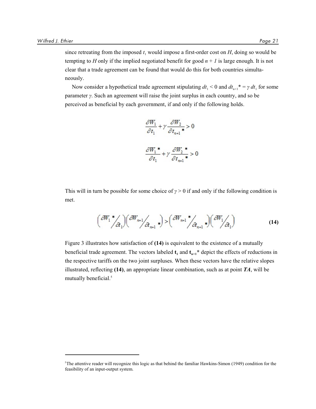since retreating from the imposed  $t_1$  would impose a first-order cost on  $H$ , doing so would be tempting to *H* only if the implied negotiated benefit for good  $n + 1$  is large enough. It is not clear that a trade agreement can be found that would do this for both countries simultaneously.

Now consider a hypothetical trade agreement stipulating  $dt_1 < 0$  and  $dt_{n+1}^* = \gamma dt_1$  for some parameter  $\gamma$ . Such an agreement will raise the joint surplus in each country, and so be perceived as beneficial by each government, if and only if the following holds.

$$
\frac{\partial W_1}{\partial t_1} + \gamma \frac{\partial W_2}{\partial t_{n+1}} \ge 0
$$
  

$$
\frac{\partial W_1 \cdot \partial H_2}{\partial t_1} + \gamma \frac{\partial W_2 \cdot \partial H_3}{\partial t_{n+1}} \ge 0
$$

This will in turn be possible for some choice of  $\gamma > 0$  if and only if the following condition is met.

$$
\left(\begin{array}{c} \partial W_1 \ast \\ \partial \theta_1 \end{array}\right) \left(\begin{array}{c} \partial W_{n+1} \\ \partial \theta_{n+1} \end{array}\right) > \left(\begin{array}{c} \partial W_{n+1} \ast \\ \partial \theta_{n+1} \end{array}\right) \left(\begin{array}{c} \partial W_1 \\ \partial \theta_1 \end{array}\right) \tag{14}
$$

Figure 3 illustrates how satisfaction of **(14)** is equivalent to the existence of a mutually beneficial trade agreement. The vectors labeled  $t_1$  and  $t_{n+1}$ <sup>\*</sup> depict the effects of reductions in the respective tariffs on the two joint surpluses. When these vectors have the relative slopes illustrated, reflecting **(14)**, an appropriate linear combination, such as at point *TA*, will be mutually beneficial.<sup>5</sup>

 $5$ The attentive reader will recognize this logic as that behind the familiar Hawkins-Simon (1949) condition for the feasibility of an input-output system.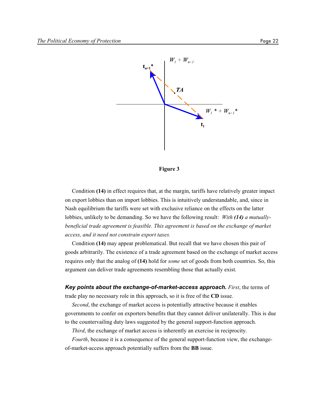



Condition **(14)** in effect requires that, at the margin, tariffs have relatively greater impact on export lobbies than on import lobbies. This is intuitively understandable, and, since in Nash equilibrium the tariffs were set with exclusive reliance on the effects on the latter lobbies, unlikely to be demanding. So we have the following result: *With (14) a mutuallybeneficial trade agreement is feasible. This agreement is based on the exchange of market access, and it need not constrain export taxes.*

Condition **(14)** may appear problematical. But recall that we have chosen this pair of goods arbitrarily. The existence of a trade agreement based on the exchange of market access requires only that the analog of **(14)** hold for *some* set of goods from both countries. So, this argument can deliver trade agreements resembling those that actually exist.

*Key points about the exchange-of-market-access approach. First*, the terms of trade play no necessary role in this approach, so it is free of the **CD** issue.

*Second*, the exchange of market access is potentially attractive because it enables governments to confer on exporters benefits that they cannot deliver unilaterally. This is due to the countervailing duty laws suggested by the general support-function approach.

*Third*, the exchange of market access is inherently an exercise in reciprocity.

*Fourth*, because it is a consequence of the general support-function view, the exchangeof-market-access approach potentially suffers from the **BB** issue.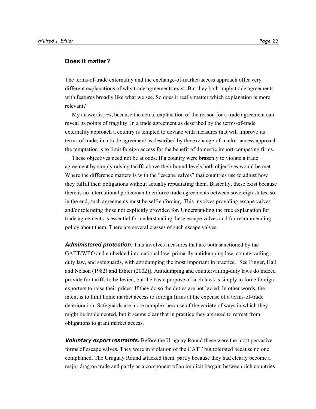#### **Does it matter?**

The terms-of-trade externality and the exchange-of-market-access approach offer very different explanations of why trade agreements exist. But they both imply trade agreements with features broadly like what we see. So does it really matter which explanation is more relevant?

My answer is *yes*, because the actual explanation of the reason for a trade agreement can reveal its points of fragility. In a trade agreement as described by the terms-of-trade externality approach a country is tempted to deviate with measures that will improve its terms of trade; in a trade agreement as described by the exchange-of-market-access approach the temptation is to limit foreign access for the benefit of domestic import-competing firms.

These objectives need not be at odds. If a country were brazenly to violate a trade agreement by simply raising tariffs above their bound levels both objectives would be met. Where the difference matters is with the "escape valves" that countries use to adjust how they fulfill their obligations without actually repudiating them. Basically, these exist because there is no international policeman to enforce trade agreements between sovereign states, so, in the end, such agreements must be self-enforcing. This involves providing escape valves and/or tolerating those not explicitly provided for. Understanding the true explanation for trade agreements is essential for understanding these escape valves and for recommending policy about them. There are several classes of such escape valves.

*Administered protection.* This involves measures that are both sanctioned by the GATT/WTO and embedded into national law: primarily antidumping law, countervailingduty law, and safeguards, with antidumping the most important in practice. [See Finger, Hall and Nelson (1982) and Ethier (2002)]. Antidumping and countervailing-duty laws do indeed provide for tariffs to be levied, but the basic purpose of such laws is simply to force foreign exporters to raise their prices: If they do so the duties are not levied. In other words, the intent is to limit home market access to foreign firms at the expense of a terms-of-trade deterioration. Safeguards are more complex because of the variety of ways in which they might be implemented, but it seems clear that in practice they are used to retreat from obligations to grant market access.

*Voluntary export restraints.* Before the Uruguay Round these were the most pervasive forms of escape valves. They were in violation of the GATT but tolerated because no one complained. The Uruguay Round attacked them, partly because they had clearly become a major drag on trade and partly as a component of an implicit bargain between rich countries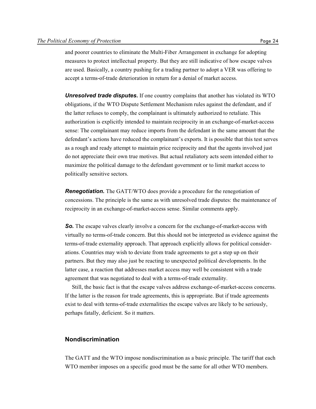and poorer countries to eliminate the Multi-Fiber Arrangement in exchange for adopting measures to protect intellectual property. But they are still indicative of how escape valves are used. Basically, a country pushing for a trading partner to adopt a VER was offering to accept a terms-of-trade deterioration in return for a denial of market access.

**Unresolved trade disputes.** If one country complains that another has violated its WTO obligations, if the WTO Dispute Settlement Mechanism rules against the defendant, and if the latter refuses to comply, the complainant is ultimately authorized to retaliate. This authorization is explicitly intended to maintain reciprocity in an exchange-of-market-access sense: The complainant may reduce imports from the defendant in the same amount that the defendant's actions have reduced the complainant's exports. It is possible that this test serves as a rough and ready attempt to maintain price reciprocity and that the agents involved just do not appreciate their own true motives. But actual retaliatory acts seem intended either to maximize the political damage to the defendant government or to limit market access to politically sensitive sectors.

**Renegotiation.** The GATT/WTO does provide a procedure for the renegotiation of concessions. The principle is the same as with unresolved trade disputes: the maintenance of reciprocity in an exchange-of-market-access sense. Similar comments apply.

**So.** The escape valves clearly involve a concern for the exchange-of-market-access with virtually no terms-of-trade concern. But this should not be interpreted as evidence against the terms-of-trade externality approach. That approach explicitly allows for political considerations. Countries may wish to deviate from trade agreements to get a step up on their partners. But they may also just be reacting to unexpected political developments. In the latter case, a reaction that addresses market access may well be consistent with a trade agreement that was negotiated to deal with a terms-of-trade externality.

Still, the basic fact is that the escape valves address exchange-of-market-access concerns. If the latter is the reason for trade agreements, this is appropriate. But if trade agreements exist to deal with terms-of-trade externalities the escape valves are likely to be seriously, perhaps fatally, deficient. So it matters.

#### **Nondiscrimination**

The GATT and the WTO impose nondiscrimination as a basic principle. The tariff that each WTO member imposes on a specific good must be the same for all other WTO members.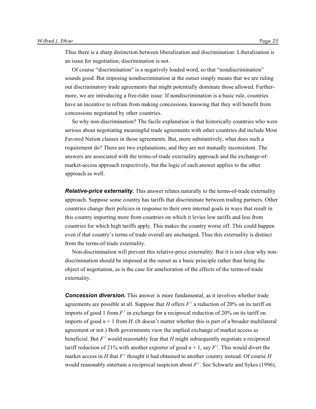Thus there is a sharp distinction between liberalization and discrimination: Liberalization is an issue for negotiation; discrimination is not.

Of course "discrimination" is a negatively loaded word, so that "nondiscrimination" sounds good. But imposing nondiscrimination at the outset simply means that we are ruling out discriminatory trade agreements that might potentially dominate those allowed. Furthermore, we are introducing a free-rider issue: If nondiscrimination is a basic rule, countries have an incentive to refrain from making concessions, knowing that they will benefit from concessions negotiated by other countries.

So why non-discrimination? The facile explanation is that historically countries who were serious about negotiating meaningful trade agreements with other countries did include Most Favored Nation clauses in those agreements. But, more substantively, what does such a requirement do? There are two explanations, and they are not mutually inconsistent. The answers are associated with the terms-of-trade externality approach and the exchange-ofmarket-access approach respectively, but the logic of each answer applies to the other approach as well.

*Relative-price externality.* This answer relates naturally to the terms-of-trade externality approach. Suppose some country has tariffs that discriminate between trading partners. Other countries change their policies in response to their own internal goals in ways that result in this country importing more from countries on which it levies low tariffs and less from countries for which high tariffs apply. This makes the country worse off. This could happen even if that country's terms of trade overall are unchanged. Thus this externality is distinct from the terms-of-trade externality.

Non-discrimination will prevent this relative-price externality. But it is not clear why nondiscrimination should be imposed at the outset as a basic principle rather than being the object of negotiation, as is the case for amelioration of the effects of the terms-of-trade externality.

**Concession diversion.** This answer is more fundamental, as it involves whether trade agreements are possible at all. Suppose that *H* offers  $F<sup>T</sup>$  a reduction of 20% on its tariff on imports of good 1 from  $F<sup>T</sup>$  in exchange for a reciprocal reduction of 20% on its tariff on imports of good  $n + 1$  from *H*. (It doesn't matter whether this is part of a broader multilateral agreement or not.) Both governments view the implied exchange of market access as beneficial. But  $F<sup>T</sup>$  would reasonably fear that *H* might subsequently negotiate a reciprocal tariff reduction of 21% with another exporter of good  $n + 1$ , say  $F<sup>2</sup>$ . This would divert the market access in  $H$  that  $F<sup>T</sup>$  thought it had obtained to another country instead. Of course  $H$ would reasonably entertain a reciprocal suspicion about  $F<sup>T</sup>$ . See Schwartz and Sykes (1996),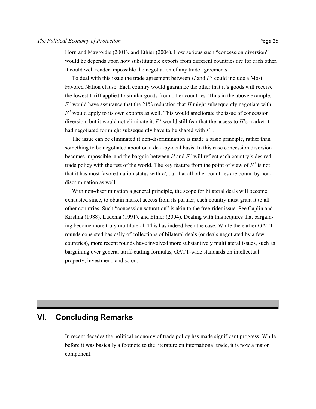Horn and Mavroidis (2001), and Ethier (2004). How serious such "concession diversion" would be depends upon how substitutable exports from different countries are for each other. It could well render impossible the negotiation of any trade agreements.

To deal with this issue the trade agreement between *H* and  $F<sup>T</sup>$  could include a Most Favored Nation clause: Each country would guarantee the other that it's goods will receive the lowest tariff applied to similar goods from other countries. Thus in the above example,  $F<sup>1</sup>$  would have assurance that the 21% reduction that *H* might subsequently negotiate with  $F<sup>2</sup>$  would apply to its own exports as well. This would ameliorate the issue of concession diversion, but it would not eliminate it.  $F<sup>T</sup>$  would still fear that the access to *H*'s market it had negotiated for might subsequently have to be shared with  $F^2$ .

The issue can be eliminated if non-discrimination is made a basic principle, rather than something to be negotiated about on a deal-by-deal basis. In this case concession diversion becomes impossible, and the bargain between *H* and  $F<sup>T</sup>$  will reflect each country's desired trade policy with the rest of the world. The key feature from the point of view of  $F<sup>T</sup>$  is not that it has most favored nation status with *H*, but that all other countries are bound by nondiscrimination as well.

With non-discrimination a general principle, the scope for bilateral deals will become exhausted since, to obtain market access from its partner, each country must grant it to all other countries. Such "concession saturation" is akin to the free-rider issue. See Caplin and Krishna (1988), Ludema (1991), and Ethier (2004). Dealing with this requires that bargaining become more truly multilateral. This has indeed been the case: While the earlier GATT rounds consisted basically of collections of bilateral deals (or deals negotiated by a few countries), more recent rounds have involved more substantively multilateral issues, such as bargaining over general tariff-cutting formulas, GATT-wide standards on intellectual property, investment, and so on.

## **VI. Concluding Remarks**

In recent decades the political economy of trade policy has made significant progress. While before it was basically a footnote to the literature on international trade, it is now a major component.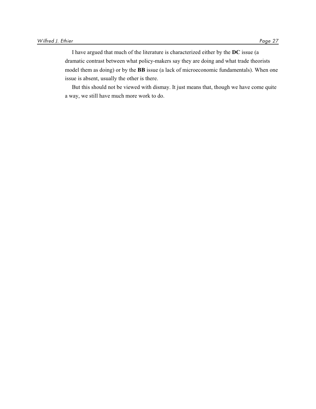I have argued that much of the literature is characterized either by the **DC** issue (a dramatic contrast between what policy-makers say they are doing and what trade theorists model them as doing) or by the **BB** issue (a lack of microeconomic fundamentals). When one issue is absent, usually the other is there.

But this should not be viewed with dismay. It just means that, though we have come quite a way, we still have much more work to do.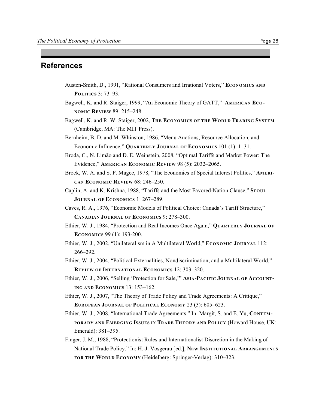### **References**

- Austen-Smith, D., 1991, "Rational Consumers and Irrational Voters," **ECONOMICS AND POLITICS** 3: 73–93.
- Bagwell, K. and R. Staiger, 1999, "An Economic Theory of GATT," **AMERICAN ECO-NOMIC REVIEW** 89: 215–248.
- Bagwell, K. and R. W. Staiger, 2002, **THE ECONOMICS OF THE WORLD TRADING SYSTEM** (Cambridge, MA: The MIT Press).
- Bernheim, B. D. and M. Whinston, 1986, "Menu Auctions, Resource Allocation, and Economic Influence," **QUARTERLY JOURNAL OF ECONOMICS** 101 (1): 1–31.
- Broda, C., N. Limão and D. E. Weinstein, 2008, "Optimal Tariffs and Market Power: The Evidence," **AMERICAN ECONOMIC REVIEW** 98 (5): 2032–2065.
- Brock, W. A. and S. P. Magee, 1978, "The Economics of Special Interest Politics," **AMERI-CAN ECONOMIC REVIEW** 68: 246–250.
- Caplin, A. and K. Krishna, 1988, "Tariffs and the Most Favored-Nation Clause," **SEOUL JOURNAL OF ECONOMICS** 1: 267–289.
- Caves, R. A., 1976, "Economic Models of Political Choice: Canada's Tariff Structure," **CANADIAN JOURNAL OF ECONOMICS** 9: 278–300.
- Ethier, W. J., 1984, "Protection and Real Incomes Once Again," **QUARTERLY JOURNAL OF ECONOMICS** 99 (1): 193-200.
- Ethier, W. J., 2002, "Unilateralism in A Multilateral World," **ECONOMIC JOURNAL** 112: 266–292.
- Ethier, W. J., 2004, "Political Externalities, Nondiscrimination, and a Multilateral World," **REVIEW OF INTERNATIONAL ECONOMICS** 12: 303–320.
- Ethier, W. J., 2006, "Selling 'Protection for Sale,'" **ASIA-PACIFIC JOURNAL OF ACCOUNT-ING AND ECONOMICS** 13: 153–162.
- Ethier, W. J., 2007, "The Theory of Trade Policy and Trade Agreements: A Critique," **EUROPEAN JOURNAL OF POLITICAL ECONOMY** 23 (3): 605–623.
- Ethier, W. J., 2008, "International Trade Agreements." In: Margit, S. and E. Yu, **CONTEM-PORARY AND EMERGING ISSUES IN TRADE THEORY AND POLICY** (Howard House, UK: Emerald): 381–395.
- Finger, J. M., 1988, "Protectionist Rules and Internationalist Discretion in the Making of National Trade Policy." In: H.-J. Vosgerau [ed.], **NEW INSTITUTIONAL ARRANGEMENTS FOR THE WORLD ECONOMY** (Heidelberg: Springer-Verlag): 310–323.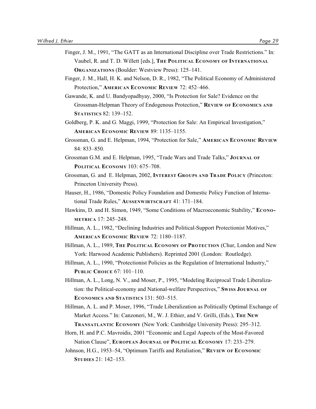- Finger, J. M., 1991, "The GATT as an International Discipline over Trade Restrictions." In: Vaubel, R. and T. D. Willett [eds.], **THE POLITICAL ECONOMY OF INTERNATIONAL ORGANIZATIONS** (Boulder: Westview Press): 125–141.
- Finger, J. M., Hall, H. K. and Nelson, D. R., 1982, "The Political Economy of Administered Protection," **AMERICAN ECONOMIC REVIEW** 72: 452–466.
- Gawande, K. and U. Bandyopadhyay, 2000, "Is Protection for Sale? Evidence on the Grossman-Helpman Theory of Endogenous Protection," **REVIEW OF ECONOMICS AND STATISTICS** 82: 139–152.
- Goldberg, P. K. and G. Maggi, 1999, "Protection for Sale: An Empirical Investigation," **AMERICAN ECONOMIC REVIEW** 89: 1135–1155.
- Grossman, G. and E. Helpman, 1994, "Protection for Sale," **AMERICAN ECONOMIC REVIEW** 84: 833–850.
- Grossman G.M. and E. Helpman, 1995, "Trade Wars and Trade Talks," **JOURNAL OF POLITICAL ECONOMY** 103: 675–708.
- Grossman, G. and E. Helpman, 2002, **INTEREST GROUPS AND TRADE POLICY** (Princeton: Princeton University Press).
- Hauser, H., 1986, "Domestic Policy Foundation and Domestic Policy Function of International Trade Rules," **AUSSENWIRTSCHAFT** 41: 171–184.
- Hawkins, D. and H. Simon, 1949, "Some Conditions of Macroeconomic Stability," **ECONO-METRICA** 17: 245–248.
- Hillman, A. L., 1982, "Declining Industries and Political-Support Protectionist Motives," **AMERICAN ECONOMIC REVIEW** 72: 1180–1187.
- Hillman, A. L., 1989, **THE POLITICAL ECONOMY OF PROTECTION** (Chur, London and New York: Harwood Academic Publishers). Reprinted 2001 (London: Routledge).
- Hillman, A. L., 1990, "Protectionist Policies as the Regulation of International Industry," **PUBLIC CHOICE** 67: 101–110.
- Hillman, A. L., Long, N. V., and Moser, P., 1995, "Modeling Reciprocal Trade Liberalization: the Political-economy and National-welfare Perspectives," **SWISS JOURNAL OF ECONOMICS AND STATISTICS** 131: 503–515.
- Hillman, A. L. and P. Moser, 1996, "Trade Liberalization as Politically Optimal Exchange of Market Access." In: Canzoneri, M., W. J. Ethier, and V. Grilli, (Eds.), **THE NEW TRANSATLANTIC ECONOMY** (New York: Cambridge University Press): 295–312.
- Horn, H. and P.C. Mavroidis, 2001 "Economic and Legal Aspects of the Most-Favored Nation Clause", **EUROPEAN JOURNAL OF POLITICAL ECONOMY** 17: 233–279.
- Johnson, H.G., 1953–54, "Optimum Tariffs and Retaliation," **REVIEW OF ECONOMIC STUDIES** 21: 142–153.